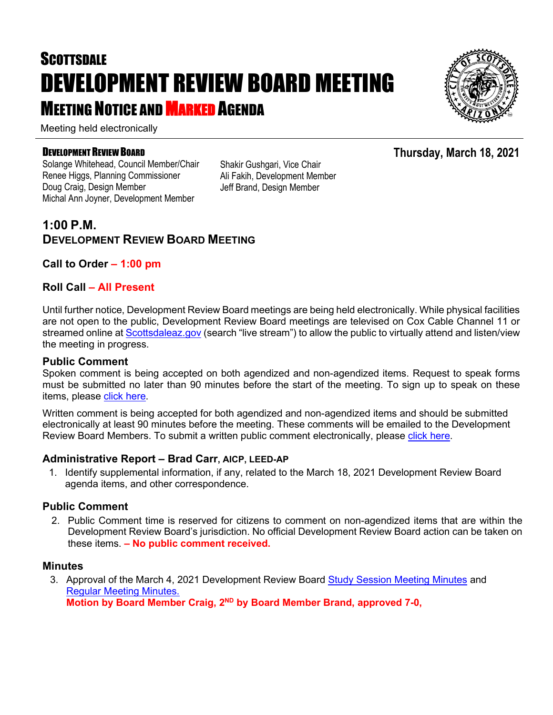# **SCOTTSDALE** DEVELOPMENT REVIEW BOARD MEETING **MEETING NOTICE AND MARKED AGENDA**

Meeting held electronically

#### DEVELOPMENT REVIEW BOARD

Solange Whitehead, Council Member/Chair Renee Higgs, Planning Commissioner Doug Craig, Design Member Michal Ann Joyner, Development Member

Shakir Gushgari, Vice Chair Ali Fakih, Development Member Jeff Brand, Design Member

# **1:00 P.M. DEVELOPMENT REVIEW BOARD MEETING**

# **Call to Order – 1:00 pm**

## **Roll Call – All Present**

Until further notice, Development Review Board meetings are being held electronically. While physical facilities are not open to the public, Development Review Board meetings are televised on Cox Cable Channel 11 or streamed online at [Scottsdaleaz.gov](https://www.scottsdaleaz.gov/) (search "live stream") to allow the public to virtually attend and listen/view the meeting in progress.

#### **Public Comment**

Spoken comment is being accepted on both agendized and non-agendized items. Request to speak forms must be submitted no later than 90 minutes before the start of the meeting. To sign up to speak on these items, please [click here.](https://www.scottsdaleaz.gov/boards/development-review-board/spoken-comment)

Written comment is being accepted for both agendized and non-agendized items and should be submitted electronically at least 90 minutes before the meeting. These comments will be emailed to the Development Review Board Members. To submit a written public comment electronically, please [click here.](https://www.scottsdaleaz.gov/boards/development-review-board/public-comment)

#### **Administrative Report – Brad Carr, AICP, LEED-AP**

1. Identify supplemental information, if any, related to the March 18, 2021 Development Review Board agenda items, and other correspondence.

## **Public Comment**

2. Public Comment time is reserved for citizens to comment on non-agendized items that are within the Development Review Board's jurisdiction. No official Development Review Board action can be taken on these items. **– No public comment received.**

#### **Minutes**

3. Approval of the March 4, 2021 Development Review Board [Study Session Meeting Minutes](https://eservices.scottsdaleaz.gov/planning/projectsummary/unrelated_documents/DR_SS_MINUTES_03042021.pdf) and [Regular Meeting Minutes.](https://eservices.scottsdaleaz.gov/planning/projectsummary/unrelated_documents/DRB_MEETING_MINUTES_03042021.pdf) **Motion by Board Member Craig, 2ND by Board Member Brand, approved 7-0,**



**Thursday, March 18, 2021**